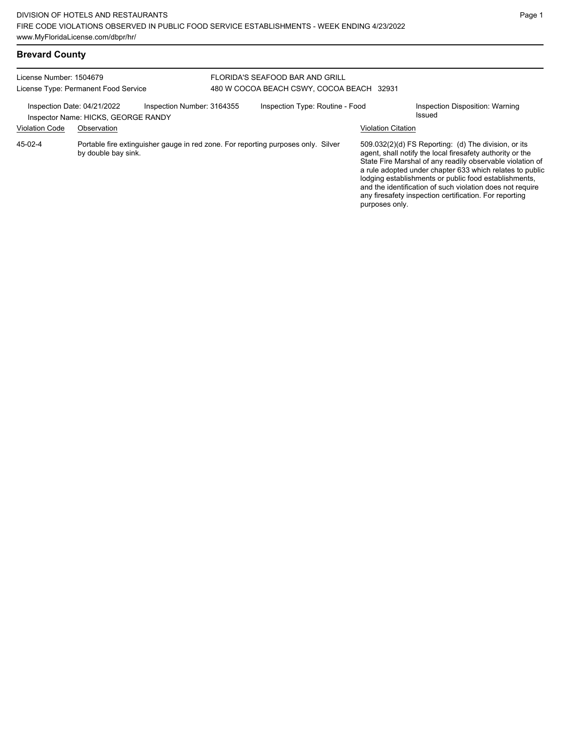## **Brevard County**

#### License Number: 1504679 License Type: Permanent Food Service FLORIDA'S SEAFOOD BAR AND GRILL 480 W COCOA BEACH CSWY, COCOA BEACH 32931 Inspection Date: 04/21/2022 Inspection Number: 3164355 Inspection Type: Routine - Food Inspection Disposition: Warning<br>Inspector Name: HICKS CEORGE RANDY Inspector Name: HICKS, GEORGE RANDY Violation Code Observation Violation Citation Portable fire extinguisher gauge in red zone. For reporting purposes only. Silver by double bay sink. 509.032(2)(d) FS Reporting: (d) The division, or its agent, shall notify the local firesafety authority or the State Fire Marshal of any readily observable violation of a rule adopted under chapter 633 which relates to public lodging establishments or public food establishments, and the identification of such violation does not require any firesafety inspection certification. For reporting purposes only. 45-02-4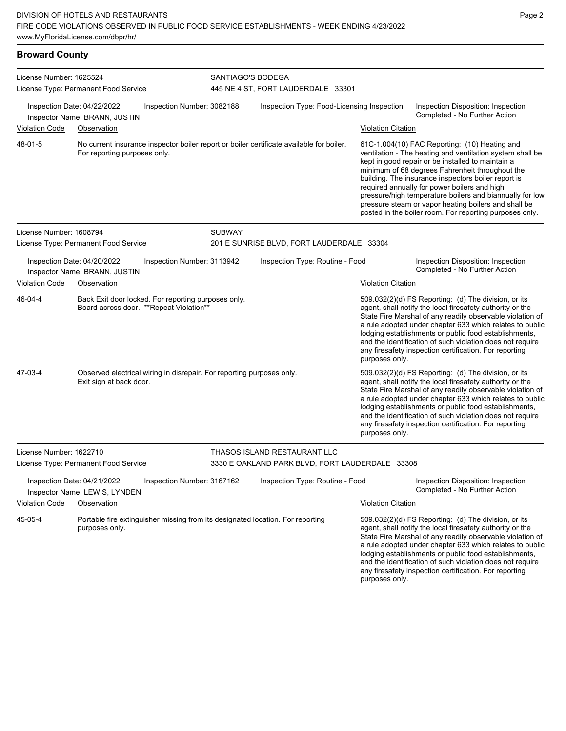### **Broward County**

| License Number: 1625524 |                                                                                                                          |               |                                                         |                           |                                                                                                                                                                                                                                                                                                                                                                                                                                                                                                          |  |  |  |
|-------------------------|--------------------------------------------------------------------------------------------------------------------------|---------------|---------------------------------------------------------|---------------------------|----------------------------------------------------------------------------------------------------------------------------------------------------------------------------------------------------------------------------------------------------------------------------------------------------------------------------------------------------------------------------------------------------------------------------------------------------------------------------------------------------------|--|--|--|
|                         | License Type: Permanent Food Service                                                                                     |               | SANTIAGO'S BODEGA<br>445 NE 4 ST, FORT LAUDERDALE 33301 |                           |                                                                                                                                                                                                                                                                                                                                                                                                                                                                                                          |  |  |  |
| Violation Code          | Inspection Date: 04/22/2022<br>Inspection Number: 3082188<br>Inspector Name: BRANN, JUSTIN<br>Observation                |               | Inspection Type: Food-Licensing Inspection              | <b>Violation Citation</b> | Inspection Disposition: Inspection<br>Completed - No Further Action                                                                                                                                                                                                                                                                                                                                                                                                                                      |  |  |  |
|                         |                                                                                                                          |               |                                                         |                           |                                                                                                                                                                                                                                                                                                                                                                                                                                                                                                          |  |  |  |
| 48-01-5                 | No current insurance inspector boiler report or boiler certificate available for boiler.<br>For reporting purposes only. |               |                                                         |                           | 61C-1.004(10) FAC Reporting: (10) Heating and<br>ventilation - The heating and ventilation system shall be<br>kept in good repair or be installed to maintain a<br>minimum of 68 degrees Fahrenheit throughout the<br>building. The insurance inspectors boiler report is<br>required annually for power boilers and high<br>pressure/high temperature boilers and biannually for low<br>pressure steam or vapor heating boilers and shall be<br>posted in the boiler room. For reporting purposes only. |  |  |  |
| License Number: 1608794 |                                                                                                                          | <b>SUBWAY</b> |                                                         |                           |                                                                                                                                                                                                                                                                                                                                                                                                                                                                                                          |  |  |  |
|                         | License Type: Permanent Food Service                                                                                     |               | 201 E SUNRISE BLVD, FORT LAUDERDALE 33304               |                           |                                                                                                                                                                                                                                                                                                                                                                                                                                                                                                          |  |  |  |
|                         | Inspection Date: 04/20/2022<br>Inspection Number: 3113942<br>Inspector Name: BRANN, JUSTIN                               |               | Inspection Type: Routine - Food                         |                           | Inspection Disposition: Inspection<br>Completed - No Further Action                                                                                                                                                                                                                                                                                                                                                                                                                                      |  |  |  |
| <b>Violation Code</b>   | Observation                                                                                                              |               |                                                         | <b>Violation Citation</b> |                                                                                                                                                                                                                                                                                                                                                                                                                                                                                                          |  |  |  |
| 46-04-4                 | Back Exit door locked. For reporting purposes only.<br>Board across door. **Repeat Violation**                           |               |                                                         | purposes only.            | 509.032(2)(d) FS Reporting: (d) The division, or its<br>agent, shall notify the local firesafety authority or the<br>State Fire Marshal of any readily observable violation of<br>a rule adopted under chapter 633 which relates to public<br>lodging establishments or public food establishments,<br>and the identification of such violation does not require<br>any firesafety inspection certification. For reporting                                                                               |  |  |  |
| 47-03-4                 | Observed electrical wiring in disrepair. For reporting purposes only.<br>Exit sign at back door.                         |               |                                                         | purposes only.            | 509.032(2)(d) FS Reporting: (d) The division, or its<br>agent, shall notify the local firesafety authority or the<br>State Fire Marshal of any readily observable violation of<br>a rule adopted under chapter 633 which relates to public<br>lodging establishments or public food establishments,<br>and the identification of such violation does not require<br>any firesafety inspection certification. For reporting                                                                               |  |  |  |
| License Number: 1622710 |                                                                                                                          |               | THASOS ISLAND RESTAURANT LLC                            |                           |                                                                                                                                                                                                                                                                                                                                                                                                                                                                                                          |  |  |  |
|                         | License Type: Permanent Food Service                                                                                     |               | 3330 E OAKLAND PARK BLVD, FORT LAUDERDALE 33308         |                           |                                                                                                                                                                                                                                                                                                                                                                                                                                                                                                          |  |  |  |
|                         | Inspection Date: 04/21/2022<br>Inspection Number: 3167162<br>Inspector Name: LEWIS, LYNDEN                               |               | Inspection Type: Routine - Food                         |                           | Inspection Disposition: Inspection<br>Completed - No Further Action                                                                                                                                                                                                                                                                                                                                                                                                                                      |  |  |  |
| <b>Violation Code</b>   | Observation                                                                                                              |               |                                                         | <b>Violation Citation</b> |                                                                                                                                                                                                                                                                                                                                                                                                                                                                                                          |  |  |  |
| 45-05-4                 | Portable fire extinguisher missing from its designated location. For reporting<br>purposes only.                         |               |                                                         |                           | 509.032(2)(d) FS Reporting: (d) The division, or its<br>agent, shall notify the local firesafety authority or the<br>State Fire Marshal of any readily observable violation of<br>a rule adopted under chapter 633 which relates to public<br>lodging establishments or public food establishments,                                                                                                                                                                                                      |  |  |  |

and the identification of such violation does not require any firesafety inspection certification. For reporting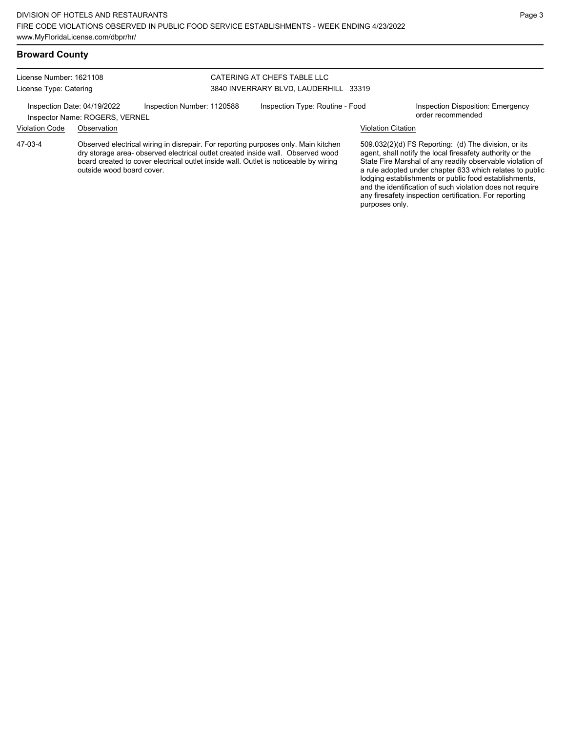### **Broward County**

License Number: 1621108 License Type: Catering

### CATERING AT CHEFS TABLE LLC 3840 INVERRARY BLVD, LAUDERHILL 33319

Inspection Date: 04/19/2022 Inspection Number: 1120588 Inspection Type: Routine - Food Inspection Disposition: Emergency

### Inspector Name: ROGERS, VERNEL Violation Code Observation Violation Citation

Observed electrical wiring in disrepair. For reporting purposes only. Main kitchen dry storage area- observed electrical outlet created inside wall. Observed wood board created to cover electrical outlet inside wall. Outlet is noticeable by wiring outside wood board cover. 47-03-4

509.032(2)(d) FS Reporting: (d) The division, or its agent, shall notify the local firesafety authority or the State Fire Marshal of any readily observable violation of a rule adopted under chapter 633 which relates to public lodging establishments or public food establishments, and the identification of such violation does not require

any firesafety inspection certification. For reporting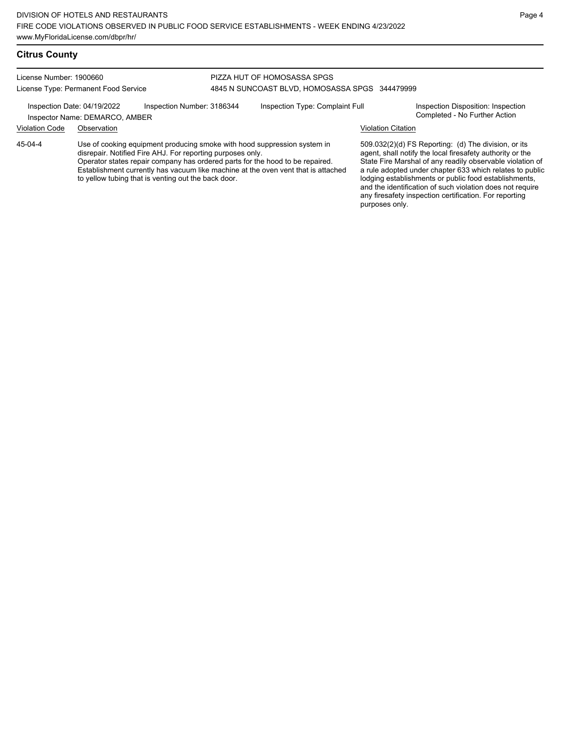### **Citrus County**

#### License Number: 1900660 License Type: Permanent Food Service PIZZA HUT OF HOMOSASSA SPGS 4845 N SUNCOAST BLVD, HOMOSASSA SPGS 344479999 Inspection Date: 04/19/2022 Inspection Number: 3186344 Inspection Type: Complaint Full Inspection Disposition: Inspection<br>Inspector Name: DEMARCO AMBER Inspector Name: DEMARCO, AMBER Violation Code Observation Violation Citation Use of cooking equipment producing smoke with hood suppression system in disrepair. Notified Fire AHJ. For reporting purposes only. Operator states repair company has ordered parts for the hood to be repaired. Establishment currently has vacuum like machine at the oven vent that is attached to yellow tubing that is venting out the back door. 509.032(2)(d) FS Reporting: (d) The division, or its agent, shall notify the local firesafety authority or the State Fire Marshal of any readily observable violation of a rule adopted under chapter 633 which relates to public lodging establishments or public food establishments, and the identification of such violation does not require any firesafety inspection certification. For reporting 45-04-4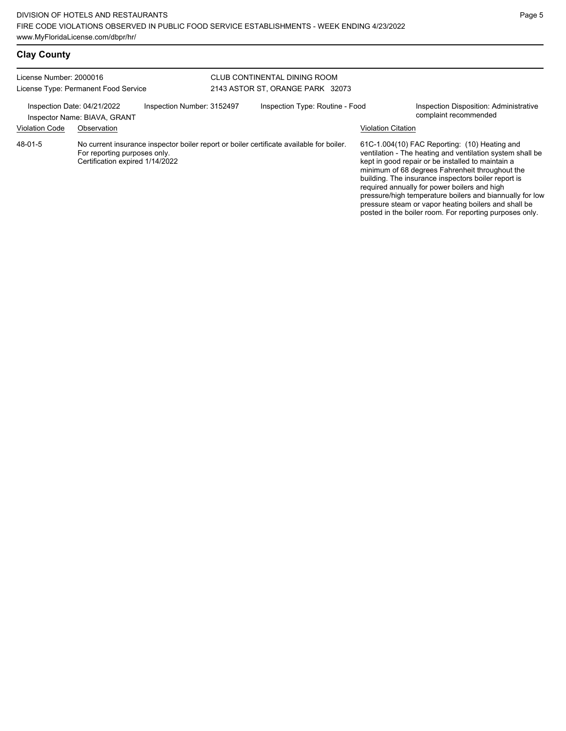| License Number: 2000016 | License Type: Permanent Food Service                            |                            | CLUB CONTINENTAL DINING ROOM<br>2143 ASTOR ST, ORANGE PARK 32073                         |                           |                                                                                                                                                                                                                                                                                                                                                                                                                                                                                                          |
|-------------------------|-----------------------------------------------------------------|----------------------------|------------------------------------------------------------------------------------------|---------------------------|----------------------------------------------------------------------------------------------------------------------------------------------------------------------------------------------------------------------------------------------------------------------------------------------------------------------------------------------------------------------------------------------------------------------------------------------------------------------------------------------------------|
|                         | Inspection Date: 04/21/2022<br>Inspector Name: BIAVA, GRANT     | Inspection Number: 3152497 | Inspection Type: Routine - Food                                                          |                           | Inspection Disposition: Administrative<br>complaint recommended                                                                                                                                                                                                                                                                                                                                                                                                                                          |
| <b>Violation Code</b>   | Observation                                                     |                            |                                                                                          | <b>Violation Citation</b> |                                                                                                                                                                                                                                                                                                                                                                                                                                                                                                          |
| 48-01-5                 | For reporting purposes only.<br>Certification expired 1/14/2022 |                            | No current insurance inspector boiler report or boiler certificate available for boiler. |                           | 61C-1.004(10) FAC Reporting: (10) Heating and<br>ventilation - The heating and ventilation system shall be<br>kept in good repair or be installed to maintain a<br>minimum of 68 degrees Fahrenheit throughout the<br>building. The insurance inspectors boiler report is<br>required annually for power boilers and high<br>pressure/high temperature boilers and biannually for low<br>pressure steam or vapor heating boilers and shall be<br>posted in the boiler room. For reporting purposes only. |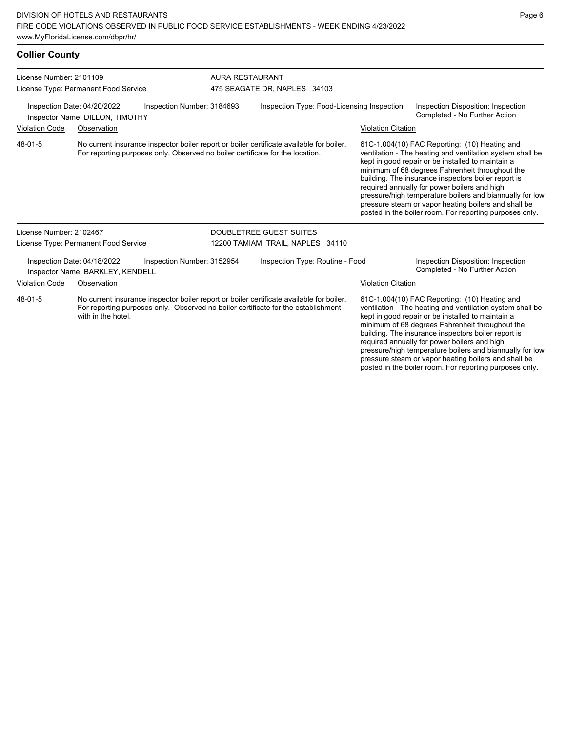| <b>Collier County</b>                                           |                                                                 |                                                                               |                              |                                                                                                                                                                               |                           |                                                                                                                                                                                                                                                                                                                                                                                                                                                                                                          |
|-----------------------------------------------------------------|-----------------------------------------------------------------|-------------------------------------------------------------------------------|------------------------------|-------------------------------------------------------------------------------------------------------------------------------------------------------------------------------|---------------------------|----------------------------------------------------------------------------------------------------------------------------------------------------------------------------------------------------------------------------------------------------------------------------------------------------------------------------------------------------------------------------------------------------------------------------------------------------------------------------------------------------------|
| License Number: 2101109<br>License Type: Permanent Food Service |                                                                 | <b>AURA RESTAURANT</b>                                                        | 475 SEAGATE DR, NAPLES 34103 |                                                                                                                                                                               |                           |                                                                                                                                                                                                                                                                                                                                                                                                                                                                                                          |
|                                                                 | Inspection Date: 04/20/2022<br>Inspector Name: DILLON, TIMOTHY  | Inspection Number: 3184693                                                    |                              | Inspection Type: Food-Licensing Inspection                                                                                                                                    |                           | Inspection Disposition: Inspection<br>Completed - No Further Action                                                                                                                                                                                                                                                                                                                                                                                                                                      |
| <b>Violation Code</b>                                           | Observation                                                     |                                                                               |                              |                                                                                                                                                                               | <b>Violation Citation</b> |                                                                                                                                                                                                                                                                                                                                                                                                                                                                                                          |
| 48-01-5                                                         |                                                                 | For reporting purposes only. Observed no boiler certificate for the location. |                              | No current insurance inspector boiler report or boiler certificate available for boiler.                                                                                      |                           | 61C-1.004(10) FAC Reporting: (10) Heating and<br>ventilation - The heating and ventilation system shall be<br>kept in good repair or be installed to maintain a<br>minimum of 68 degrees Fahrenheit throughout the<br>building. The insurance inspectors boiler report is<br>required annually for power boilers and high<br>pressure/high temperature boilers and biannually for low<br>pressure steam or vapor heating boilers and shall be<br>posted in the boiler room. For reporting purposes only. |
| License Number: 2102467                                         |                                                                 |                                                                               |                              | <b>DOUBLETREE GUEST SUITES</b>                                                                                                                                                |                           |                                                                                                                                                                                                                                                                                                                                                                                                                                                                                                          |
|                                                                 | License Type: Permanent Food Service                            |                                                                               |                              | 12200 TAMIAMI TRAIL, NAPLES 34110                                                                                                                                             |                           |                                                                                                                                                                                                                                                                                                                                                                                                                                                                                                          |
|                                                                 | Inspection Date: 04/18/2022<br>Inspector Name: BARKLEY, KENDELL | Inspection Number: 3152954                                                    |                              | Inspection Type: Routine - Food                                                                                                                                               |                           | Inspection Disposition: Inspection<br>Completed - No Further Action                                                                                                                                                                                                                                                                                                                                                                                                                                      |
| Violation Code                                                  | Observation                                                     |                                                                               |                              |                                                                                                                                                                               | <b>Violation Citation</b> |                                                                                                                                                                                                                                                                                                                                                                                                                                                                                                          |
| 48-01-5                                                         | with in the hotel.                                              |                                                                               |                              | No current insurance inspector boiler report or boiler certificate available for boiler.<br>For reporting purposes only. Observed no boiler certificate for the establishment |                           | 61C-1.004(10) FAC Reporting: (10) Heating and<br>ventilation - The heating and ventilation system shall be<br>kept in good repair or be installed to maintain a                                                                                                                                                                                                                                                                                                                                          |

ng and ventilation shall be kept in good repair or be installed to maintain a minimum of 68 degrees Fahrenheit throughout the building. The insurance inspectors boiler report is required annually for power boilers and high pressure/high temperature boilers and biannually for low pressure steam or vapor heating boilers and shall be posted in the boiler room. For reporting purposes only.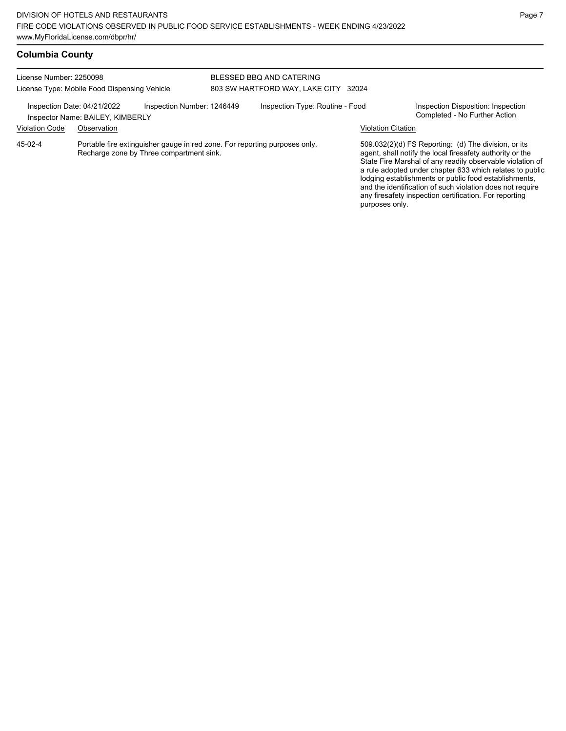| License Number: 2250098                      |                                                                 |                                                                                                                        | BLESSED BBQ AND CATERING        |                           |                                                                                                                                                                                                                                                                                                                                                                                                                            |
|----------------------------------------------|-----------------------------------------------------------------|------------------------------------------------------------------------------------------------------------------------|---------------------------------|---------------------------|----------------------------------------------------------------------------------------------------------------------------------------------------------------------------------------------------------------------------------------------------------------------------------------------------------------------------------------------------------------------------------------------------------------------------|
| License Type: Mobile Food Dispensing Vehicle |                                                                 |                                                                                                                        | 803 SW HARTFORD WAY, LAKE CITY  | 32024                     |                                                                                                                                                                                                                                                                                                                                                                                                                            |
|                                              | Inspection Date: 04/21/2022<br>Inspector Name: BAILEY, KIMBERLY | Inspection Number: 1246449                                                                                             | Inspection Type: Routine - Food |                           | Inspection Disposition: Inspection<br>Completed - No Further Action                                                                                                                                                                                                                                                                                                                                                        |
| <b>Violation Code</b>                        | Observation                                                     |                                                                                                                        |                                 | <b>Violation Citation</b> |                                                                                                                                                                                                                                                                                                                                                                                                                            |
| 45-02-4                                      |                                                                 | Portable fire extinguisher gauge in red zone. For reporting purposes only.<br>Recharge zone by Three compartment sink. |                                 | purposes only.            | 509.032(2)(d) FS Reporting: (d) The division, or its<br>agent, shall notify the local firesafety authority or the<br>State Fire Marshal of any readily observable violation of<br>a rule adopted under chapter 633 which relates to public<br>lodging establishments or public food establishments,<br>and the identification of such violation does not require<br>any firesafety inspection certification. For reporting |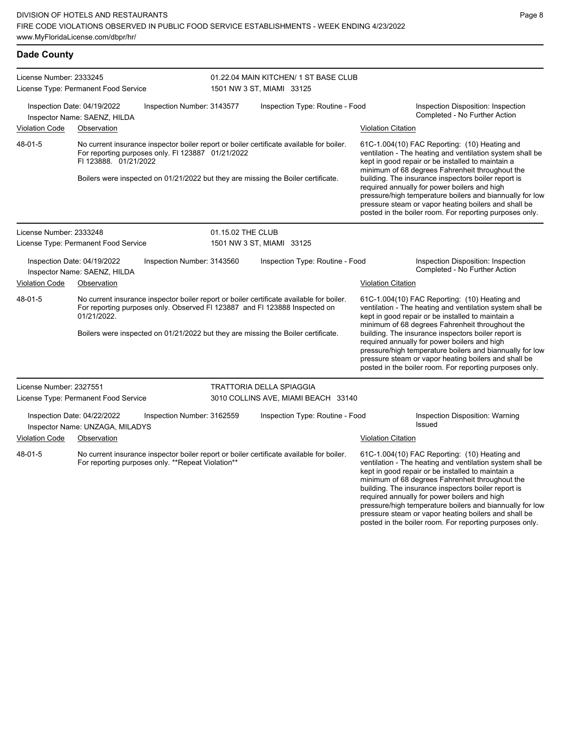| <b>Dade County</b>                                                                                                                                           |                                                                                                                                                                                                                                                             |                            |                                                                    |                           |                                                                                                                                                                                                                                                                                                                                                                                                                                                                                                          |
|--------------------------------------------------------------------------------------------------------------------------------------------------------------|-------------------------------------------------------------------------------------------------------------------------------------------------------------------------------------------------------------------------------------------------------------|----------------------------|--------------------------------------------------------------------|---------------------------|----------------------------------------------------------------------------------------------------------------------------------------------------------------------------------------------------------------------------------------------------------------------------------------------------------------------------------------------------------------------------------------------------------------------------------------------------------------------------------------------------------|
| License Number: 2333245<br>License Type: Permanent Food Service<br>Inspection Date: 04/19/2022<br>Inspection Number: 3143577<br>Inspector Name: SAENZ, HILDA |                                                                                                                                                                                                                                                             |                            | 01.22.04 MAIN KITCHEN/ 1 ST BASE CLUB<br>1501 NW 3 ST, MIAMI 33125 |                           |                                                                                                                                                                                                                                                                                                                                                                                                                                                                                                          |
|                                                                                                                                                              |                                                                                                                                                                                                                                                             |                            | Inspection Type: Routine - Food                                    |                           | Inspection Disposition: Inspection<br>Completed - No Further Action                                                                                                                                                                                                                                                                                                                                                                                                                                      |
| <b>Violation Code</b>                                                                                                                                        | Observation                                                                                                                                                                                                                                                 |                            |                                                                    | <b>Violation Citation</b> |                                                                                                                                                                                                                                                                                                                                                                                                                                                                                                          |
| 48-01-5                                                                                                                                                      | No current insurance inspector boiler report or boiler certificate available for boiler.<br>For reporting purposes only. FI 123887 01/21/2022<br>FI 123888. 01/21/2022<br>Boilers were inspected on 01/21/2022 but they are missing the Boiler certificate. |                            |                                                                    |                           | 61C-1.004(10) FAC Reporting: (10) Heating and<br>ventilation - The heating and ventilation system shall be<br>kept in good repair or be installed to maintain a<br>minimum of 68 degrees Fahrenheit throughout the<br>building. The insurance inspectors boiler report is<br>required annually for power boilers and high<br>pressure/high temperature boilers and biannually for low<br>pressure steam or vapor heating boilers and shall be<br>posted in the boiler room. For reporting purposes only. |
| License Number: 2333248                                                                                                                                      |                                                                                                                                                                                                                                                             | 01.15.02 THE CLUB          |                                                                    |                           |                                                                                                                                                                                                                                                                                                                                                                                                                                                                                                          |
|                                                                                                                                                              | License Type: Permanent Food Service                                                                                                                                                                                                                        |                            | 1501 NW 3 ST, MIAMI 33125                                          |                           |                                                                                                                                                                                                                                                                                                                                                                                                                                                                                                          |
|                                                                                                                                                              | Inspection Date: 04/19/2022<br>Inspector Name: SAENZ, HILDA                                                                                                                                                                                                 | Inspection Number: 3143560 | Inspection Type: Routine - Food                                    |                           | Inspection Disposition: Inspection<br>Completed - No Further Action                                                                                                                                                                                                                                                                                                                                                                                                                                      |
| <b>Violation Code</b>                                                                                                                                        | Observation                                                                                                                                                                                                                                                 |                            |                                                                    | <b>Violation Citation</b> |                                                                                                                                                                                                                                                                                                                                                                                                                                                                                                          |
| 48-01-5                                                                                                                                                      | No current insurance inspector boiler report or boiler certificate available for boiler.<br>For reporting purposes only. Observed FI 123887 and FI 123888 Inspected on<br>01/21/2022.                                                                       |                            |                                                                    |                           | 61C-1.004(10) FAC Reporting: (10) Heating and<br>ventilation - The heating and ventilation system shall be<br>kept in good repair or be installed to maintain a<br>minimum of 68 degrees Fahrenheit throughout the                                                                                                                                                                                                                                                                                       |
|                                                                                                                                                              | Boilers were inspected on 01/21/2022 but they are missing the Boiler certificate.                                                                                                                                                                           |                            |                                                                    |                           | building. The insurance inspectors boiler report is<br>required annually for power boilers and high<br>pressure/high temperature boilers and biannually for low<br>pressure steam or vapor heating boilers and shall be<br>posted in the boiler room. For reporting purposes only.                                                                                                                                                                                                                       |
| License Number: 2327551                                                                                                                                      |                                                                                                                                                                                                                                                             |                            | <b>TRATTORIA DELLA SPIAGGIA</b>                                    |                           |                                                                                                                                                                                                                                                                                                                                                                                                                                                                                                          |
|                                                                                                                                                              | License Type: Permanent Food Service                                                                                                                                                                                                                        |                            | 3010 COLLINS AVE, MIAMI BEACH 33140                                |                           |                                                                                                                                                                                                                                                                                                                                                                                                                                                                                                          |
|                                                                                                                                                              | Inspection Date: 04/22/2022<br>Inspector Name: UNZAGA, MILADYS                                                                                                                                                                                              | Inspection Number: 3162559 | Inspection Type: Routine - Food                                    |                           | Inspection Disposition: Warning<br>Issued                                                                                                                                                                                                                                                                                                                                                                                                                                                                |
| <b>Violation Code</b>                                                                                                                                        | Observation                                                                                                                                                                                                                                                 |                            |                                                                    | <b>Violation Citation</b> |                                                                                                                                                                                                                                                                                                                                                                                                                                                                                                          |
| 48-01-5                                                                                                                                                      | No current insurance inspector boiler report or boiler certificate available for boiler.<br>For reporting purposes only. **Repeat Violation**                                                                                                               |                            |                                                                    |                           | 61C-1.004(10) FAC Reporting: (10) Heating and<br>ventilation - The heating and ventilation system shall be<br>kept in good repair or be installed to maintain a<br>minimum of 68 degrees Fahrenheit throughout the                                                                                                                                                                                                                                                                                       |

pressure/high temperature boilers and biannually for low pressure steam or vapor heating boilers and shall be posted in the boiler room. For reporting purposes only.

building. The insurance inspectors boiler report is required annually for power boilers and high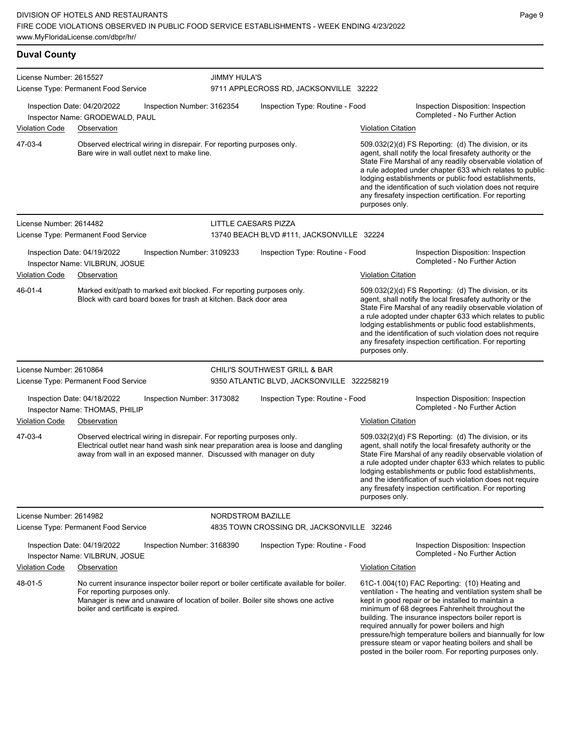## **Duval County**

| License Number: 2615527 |                                                                                                                                                                                                                                                  | <b>JIMMY HULA'S</b> |                                            |                           |                                                                                                                                                                                                                                                                                                                                                                                                                                                                                                          |
|-------------------------|--------------------------------------------------------------------------------------------------------------------------------------------------------------------------------------------------------------------------------------------------|---------------------|--------------------------------------------|---------------------------|----------------------------------------------------------------------------------------------------------------------------------------------------------------------------------------------------------------------------------------------------------------------------------------------------------------------------------------------------------------------------------------------------------------------------------------------------------------------------------------------------------|
|                         | License Type: Permanent Food Service                                                                                                                                                                                                             |                     | 9711 APPLECROSS RD, JACKSONVILLE 32222     |                           |                                                                                                                                                                                                                                                                                                                                                                                                                                                                                                          |
|                         | Inspection Date: 04/20/2022<br>Inspection Number: 3162354<br>Inspector Name: GRODEWALD, PAUL                                                                                                                                                     |                     | Inspection Type: Routine - Food            |                           | Inspection Disposition: Inspection<br>Completed - No Further Action                                                                                                                                                                                                                                                                                                                                                                                                                                      |
| <b>Violation Code</b>   | Observation                                                                                                                                                                                                                                      |                     |                                            | <b>Violation Citation</b> |                                                                                                                                                                                                                                                                                                                                                                                                                                                                                                          |
| 47-03-4                 | Observed electrical wiring in disrepair. For reporting purposes only.<br>Bare wire in wall outlet next to make line.                                                                                                                             |                     |                                            | purposes only.            | $509.032(2)(d)$ FS Reporting: (d) The division, or its<br>agent, shall notify the local firesafety authority or the<br>State Fire Marshal of any readily observable violation of<br>a rule adopted under chapter 633 which relates to public<br>lodging establishments or public food establishments,<br>and the identification of such violation does not require<br>any firesafety inspection certification. For reporting                                                                             |
| License Number: 2614482 |                                                                                                                                                                                                                                                  |                     | LITTLE CAESARS PIZZA                       |                           |                                                                                                                                                                                                                                                                                                                                                                                                                                                                                                          |
|                         | License Type: Permanent Food Service                                                                                                                                                                                                             |                     | 13740 BEACH BLVD #111, JACKSONVILLE 32224  |                           |                                                                                                                                                                                                                                                                                                                                                                                                                                                                                                          |
|                         | Inspection Date: 04/19/2022<br>Inspection Number: 3109233<br>Inspector Name: VILBRUN, JOSUE                                                                                                                                                      |                     | Inspection Type: Routine - Food            |                           | Inspection Disposition: Inspection<br>Completed - No Further Action                                                                                                                                                                                                                                                                                                                                                                                                                                      |
| <b>Violation Code</b>   | Observation                                                                                                                                                                                                                                      |                     |                                            | <b>Violation Citation</b> |                                                                                                                                                                                                                                                                                                                                                                                                                                                                                                          |
| 46-01-4                 | Marked exit/path to marked exit blocked. For reporting purposes only.<br>Block with card board boxes for trash at kitchen. Back door area                                                                                                        |                     |                                            | purposes only.            | 509.032(2)(d) FS Reporting: (d) The division, or its<br>agent, shall notify the local firesafety authority or the<br>State Fire Marshal of any readily observable violation of<br>a rule adopted under chapter 633 which relates to public<br>lodging establishments or public food establishments,<br>and the identification of such violation does not require<br>any firesafety inspection certification. For reporting                                                                               |
| License Number: 2610864 |                                                                                                                                                                                                                                                  |                     | CHILI'S SOUTHWEST GRILL & BAR              |                           |                                                                                                                                                                                                                                                                                                                                                                                                                                                                                                          |
|                         | License Type: Permanent Food Service                                                                                                                                                                                                             |                     | 9350 ATLANTIC BLVD, JACKSONVILLE 322258219 |                           |                                                                                                                                                                                                                                                                                                                                                                                                                                                                                                          |
|                         | Inspection Date: 04/18/2022<br>Inspection Number: 3173082<br>Inspector Name: THOMAS, PHILIP                                                                                                                                                      |                     | Inspection Type: Routine - Food            |                           | Inspection Disposition: Inspection<br>Completed - No Further Action                                                                                                                                                                                                                                                                                                                                                                                                                                      |
| <b>Violation Code</b>   | Observation                                                                                                                                                                                                                                      |                     |                                            | <b>Violation Citation</b> |                                                                                                                                                                                                                                                                                                                                                                                                                                                                                                          |
| 47-03-4                 | Observed electrical wiring in disrepair. For reporting purposes only.<br>Electrical outlet near hand wash sink near preparation area is loose and dangling<br>away from wall in an exposed manner. Discussed with manager on duty                |                     |                                            | purposes only.            | 509.032(2)(d) FS Reporting: (d) The division, or its<br>agent, shall notify the local firesafety authority or the<br>State Fire Marshal of any readily observable violation of<br>a rule adopted under chapter 633 which relates to public<br>lodging establishments or public food establishments,<br>and the identification of such violation does not require<br>any firesafety inspection certification. For reporting                                                                               |
| License Number: 2614982 |                                                                                                                                                                                                                                                  |                     | <b>NORDSTROM BAZILLE</b>                   |                           |                                                                                                                                                                                                                                                                                                                                                                                                                                                                                                          |
|                         | License Type: Permanent Food Service                                                                                                                                                                                                             |                     | 4835 TOWN CROSSING DR, JACKSONVILLE 32246  |                           |                                                                                                                                                                                                                                                                                                                                                                                                                                                                                                          |
|                         | Inspection Date: 04/19/2022<br>Inspection Number: 3168390<br>Inspector Name: VILBRUN, JOSUE                                                                                                                                                      |                     | Inspection Type: Routine - Food            |                           | Inspection Disposition: Inspection<br>Completed - No Further Action                                                                                                                                                                                                                                                                                                                                                                                                                                      |
| <b>Violation Code</b>   | Observation                                                                                                                                                                                                                                      |                     |                                            | <b>Violation Citation</b> |                                                                                                                                                                                                                                                                                                                                                                                                                                                                                                          |
| 48-01-5                 | No current insurance inspector boiler report or boiler certificate available for boiler.<br>For reporting purposes only.<br>Manager is new and unaware of location of boiler. Boiler site shows one active<br>boiler and certificate is expired. |                     |                                            |                           | 61C-1.004(10) FAC Reporting: (10) Heating and<br>ventilation - The heating and ventilation system shall be<br>kept in good repair or be installed to maintain a<br>minimum of 68 degrees Fahrenheit throughout the<br>building. The insurance inspectors boiler report is<br>required annually for power boilers and high<br>pressure/high temperature boilers and biannually for low<br>pressure steam or vapor heating boilers and shall be<br>posted in the boiler room. For reporting purposes only. |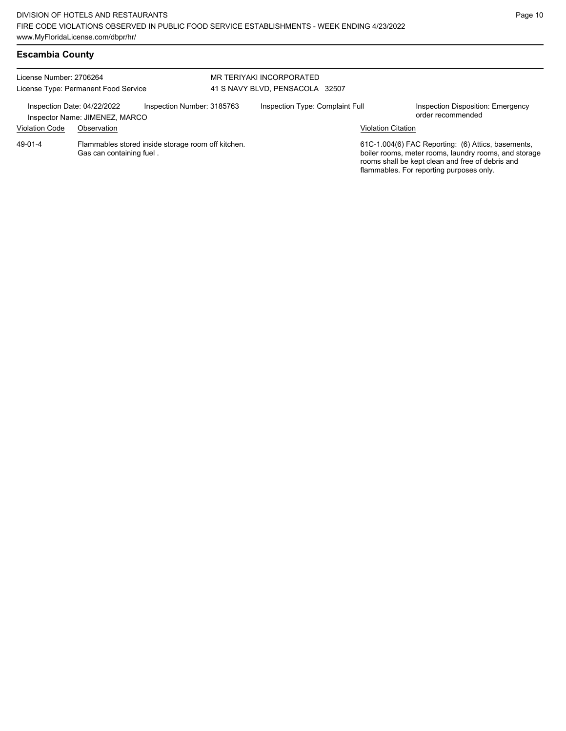| License Number: 2706264     | License Type: Permanent Food Service                                           | MR TERIYAKI INCORPORATED<br>41 S NAVY BLVD, PENSACOLA 32507 |                           |                                                                                                                                                                                                             |
|-----------------------------|--------------------------------------------------------------------------------|-------------------------------------------------------------|---------------------------|-------------------------------------------------------------------------------------------------------------------------------------------------------------------------------------------------------------|
| Inspection Date: 04/22/2022 | Inspection Number: 3185763<br>Inspector Name: JIMENEZ, MARCO                   | Inspection Type: Complaint Full                             |                           | Inspection Disposition: Emergency<br>order recommended                                                                                                                                                      |
| <b>Violation Code</b>       | Observation                                                                    |                                                             | <b>Violation Citation</b> |                                                                                                                                                                                                             |
| 49-01-4                     | Flammables stored inside storage room off kitchen.<br>Gas can containing fuel. |                                                             |                           | 61C-1.004(6) FAC Reporting: (6) Attics, basements,<br>boiler rooms, meter rooms, laundry rooms, and storage<br>rooms shall be kept clean and free of debris and<br>flammables. For reporting purposes only. |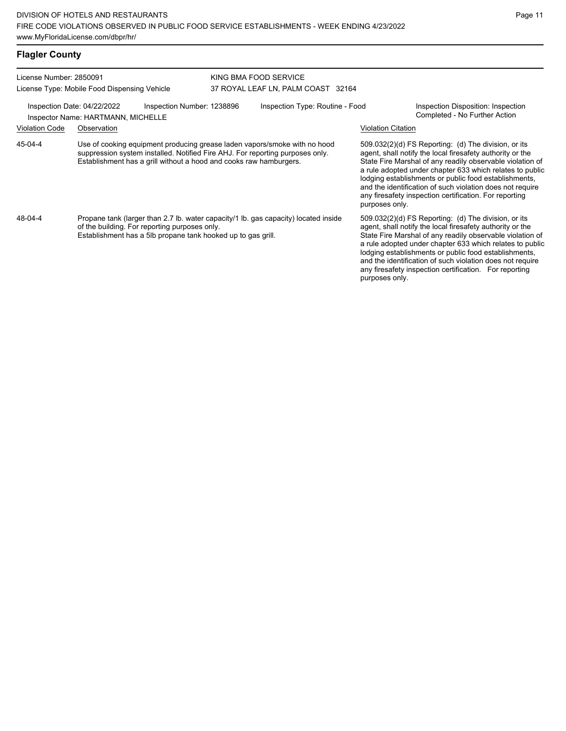# **Flagler County**

| License Number: 2850091                                                                         |                                                                                                                                                                                                      |                                                                                                                                                                                                                                  | KING BMA FOOD SERVICE              |  |                                                                                                                                                                                                                                                                                                                                                                                                                                              |  |  |
|-------------------------------------------------------------------------------------------------|------------------------------------------------------------------------------------------------------------------------------------------------------------------------------------------------------|----------------------------------------------------------------------------------------------------------------------------------------------------------------------------------------------------------------------------------|------------------------------------|--|----------------------------------------------------------------------------------------------------------------------------------------------------------------------------------------------------------------------------------------------------------------------------------------------------------------------------------------------------------------------------------------------------------------------------------------------|--|--|
|                                                                                                 | License Type: Mobile Food Dispensing Vehicle                                                                                                                                                         |                                                                                                                                                                                                                                  | 37 ROYAL LEAF LN, PALM COAST 32164 |  |                                                                                                                                                                                                                                                                                                                                                                                                                                              |  |  |
| Inspection Date: 04/22/2022<br>Inspection Number: 1238896<br>Inspector Name: HARTMANN, MICHELLE |                                                                                                                                                                                                      |                                                                                                                                                                                                                                  | Inspection Type: Routine - Food    |  | Inspection Disposition: Inspection<br>Completed - No Further Action                                                                                                                                                                                                                                                                                                                                                                          |  |  |
| <b>Violation Code</b>                                                                           | Observation                                                                                                                                                                                          |                                                                                                                                                                                                                                  |                                    |  | <b>Violation Citation</b>                                                                                                                                                                                                                                                                                                                                                                                                                    |  |  |
| 45-04-4                                                                                         |                                                                                                                                                                                                      | Use of cooking equipment producing grease laden vapors/smoke with no hood<br>suppression system installed. Notified Fire AHJ. For reporting purposes only.<br>Establishment has a grill without a hood and cooks raw hamburgers. |                                    |  | 509.032(2)(d) FS Reporting: (d) The division, or its<br>agent, shall notify the local firesafety authority or the<br>State Fire Marshal of any readily observable violation of<br>a rule adopted under chapter 633 which relates to public<br>lodging establishments or public food establishments,<br>and the identification of such violation does not require<br>any firesafety inspection certification. For reporting<br>purposes only. |  |  |
| 48-04-4                                                                                         | Propane tank (larger than 2.7 lb. water capacity/1 lb. gas capacity) located inside<br>of the building. For reporting purposes only.<br>Establishment has a 5lb propane tank hooked up to gas grill. |                                                                                                                                                                                                                                  |                                    |  | 509.032(2)(d) FS Reporting: (d) The division, or its<br>agent, shall notify the local firesafety authority or the<br>State Fire Marshal of any readily observable violation of<br>a rule adopted under chapter 633 which relates to public<br>lodging establishments or public food establishments,<br>and the identification of such violation does not require<br>any firesafety inspection certification. For reporting<br>purposes only. |  |  |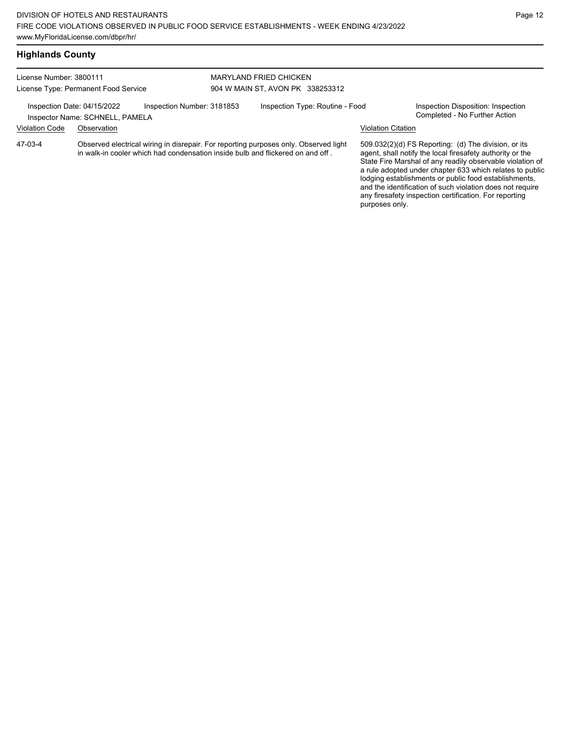| License Number: 3800111 |                                                                |                            | <b>MARYLAND FRIED CHICKEN</b>                                                                                                                                          |                           |                                                                                                                                                                                                                                                                                                     |
|-------------------------|----------------------------------------------------------------|----------------------------|------------------------------------------------------------------------------------------------------------------------------------------------------------------------|---------------------------|-----------------------------------------------------------------------------------------------------------------------------------------------------------------------------------------------------------------------------------------------------------------------------------------------------|
|                         | License Type: Permanent Food Service                           |                            | 904 W MAIN ST, AVON PK 338253312                                                                                                                                       |                           |                                                                                                                                                                                                                                                                                                     |
|                         | Inspection Date: 04/15/2022<br>Inspector Name: SCHNELL, PAMELA | Inspection Number: 3181853 | Inspection Type: Routine - Food                                                                                                                                        |                           | Inspection Disposition: Inspection<br>Completed - No Further Action                                                                                                                                                                                                                                 |
| <b>Violation Code</b>   | Observation                                                    |                            |                                                                                                                                                                        | <b>Violation Citation</b> |                                                                                                                                                                                                                                                                                                     |
| 47-03-4                 |                                                                |                            | Observed electrical wiring in disrepair. For reporting purposes only. Observed light<br>in walk-in cooler which had condensation inside bulb and flickered on and off. |                           | 509.032(2)(d) FS Reporting: (d) The division, or its<br>agent, shall notify the local firesafety authority or the<br>State Fire Marshal of any readily observable violation of<br>a rule adopted under chapter 633 which relates to public<br>lodging establishments or public food establishments, |

and the identification of such violation does not require any firesafety inspection certification. For reporting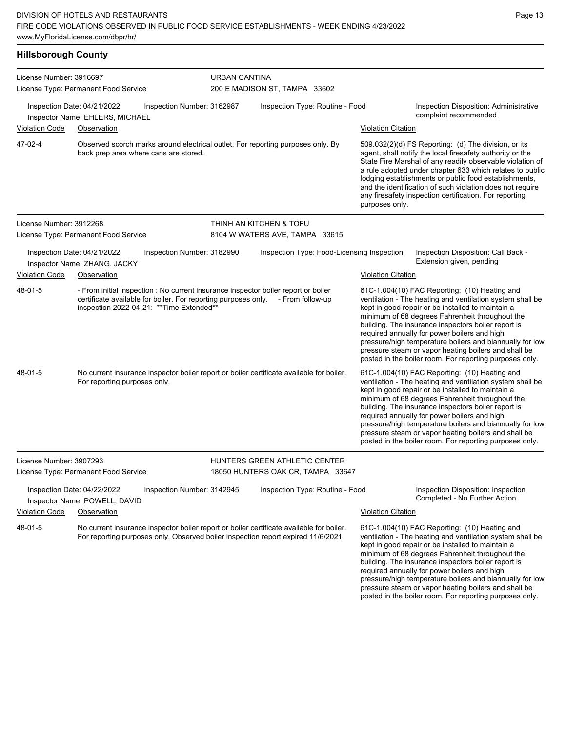### **Hillsborough County**

| License Number: 3916697 |                                                                                                                                                                                                                    |                            | URBAN CANTINA                              |                           |                                                                                                                                                                                                                                                                                                                                                                                                                                                                                                          |  |  |  |
|-------------------------|--------------------------------------------------------------------------------------------------------------------------------------------------------------------------------------------------------------------|----------------------------|--------------------------------------------|---------------------------|----------------------------------------------------------------------------------------------------------------------------------------------------------------------------------------------------------------------------------------------------------------------------------------------------------------------------------------------------------------------------------------------------------------------------------------------------------------------------------------------------------|--|--|--|
|                         | License Type: Permanent Food Service                                                                                                                                                                               |                            | 200 E MADISON ST, TAMPA 33602              |                           |                                                                                                                                                                                                                                                                                                                                                                                                                                                                                                          |  |  |  |
|                         | Inspection Date: 04/21/2022<br>Inspector Name: EHLERS, MICHAEL                                                                                                                                                     | Inspection Number: 3162987 | Inspection Type: Routine - Food            |                           | Inspection Disposition: Administrative<br>complaint recommended                                                                                                                                                                                                                                                                                                                                                                                                                                          |  |  |  |
| Violation Code          | Observation                                                                                                                                                                                                        |                            |                                            | <b>Violation Citation</b> |                                                                                                                                                                                                                                                                                                                                                                                                                                                                                                          |  |  |  |
| 47-02-4                 | Observed scorch marks around electrical outlet. For reporting purposes only. By<br>back prep area where cans are stored.                                                                                           |                            |                                            | purposes only.            | 509.032(2)(d) FS Reporting: (d) The division, or its<br>agent, shall notify the local firesafety authority or the<br>State Fire Marshal of any readily observable violation of<br>a rule adopted under chapter 633 which relates to public<br>lodging establishments or public food establishments,<br>and the identification of such violation does not require<br>any firesafety inspection certification. For reporting                                                                               |  |  |  |
| License Number: 3912268 |                                                                                                                                                                                                                    |                            | THINH AN KITCHEN & TOFU                    |                           |                                                                                                                                                                                                                                                                                                                                                                                                                                                                                                          |  |  |  |
|                         | License Type: Permanent Food Service                                                                                                                                                                               |                            | 8104 W WATERS AVE, TAMPA 33615             |                           |                                                                                                                                                                                                                                                                                                                                                                                                                                                                                                          |  |  |  |
|                         | Inspection Date: 04/21/2022<br>Inspector Name: ZHANG, JACKY                                                                                                                                                        | Inspection Number: 3182990 | Inspection Type: Food-Licensing Inspection |                           | Inspection Disposition: Call Back -<br>Extension given, pending                                                                                                                                                                                                                                                                                                                                                                                                                                          |  |  |  |
| <b>Violation Code</b>   | Observation                                                                                                                                                                                                        |                            |                                            | <b>Violation Citation</b> |                                                                                                                                                                                                                                                                                                                                                                                                                                                                                                          |  |  |  |
| 48-01-5                 | - From initial inspection : No current insurance inspector boiler report or boiler<br>certificate available for boiler. For reporting purposes only. - From follow-up<br>inspection 2022-04-21: ** Time Extended** |                            |                                            |                           | 61C-1.004(10) FAC Reporting: (10) Heating and<br>ventilation - The heating and ventilation system shall be<br>kept in good repair or be installed to maintain a<br>minimum of 68 degrees Fahrenheit throughout the<br>building. The insurance inspectors boiler report is<br>required annually for power boilers and high<br>pressure/high temperature boilers and biannually for low<br>pressure steam or vapor heating boilers and shall be<br>posted in the boiler room. For reporting purposes only. |  |  |  |
| 48-01-5                 | No current insurance inspector boiler report or boiler certificate available for boiler.<br>For reporting purposes only.                                                                                           |                            |                                            |                           | 61C-1.004(10) FAC Reporting: (10) Heating and<br>ventilation - The heating and ventilation system shall be<br>kept in good repair or be installed to maintain a<br>minimum of 68 degrees Fahrenheit throughout the<br>building. The insurance inspectors boiler report is<br>required annually for power boilers and high<br>pressure/high temperature boilers and biannually for low<br>pressure steam or vapor heating boilers and shall be<br>posted in the boiler room. For reporting purposes only. |  |  |  |
| License Number: 3907293 |                                                                                                                                                                                                                    |                            | HUNTERS GREEN ATHLETIC CENTER              |                           |                                                                                                                                                                                                                                                                                                                                                                                                                                                                                                          |  |  |  |
|                         | License Type: Permanent Food Service                                                                                                                                                                               |                            | 18050 HUNTERS OAK CR, TAMPA 33647          |                           |                                                                                                                                                                                                                                                                                                                                                                                                                                                                                                          |  |  |  |
| Violation Code          | Inspection Date: 04/22/2022<br>Inspector Name: POWELL, DAVID<br>Observation                                                                                                                                        | Inspection Number: 3142945 | Inspection Type: Routine - Food            | <b>Violation Citation</b> | Inspection Disposition: Inspection<br>Completed - No Further Action                                                                                                                                                                                                                                                                                                                                                                                                                                      |  |  |  |
| 48-01-5                 | No current insurance inspector boiler report or boiler certificate available for boiler.<br>For reporting purposes only. Observed boiler inspection report expired 11/6/2021                                       |                            |                                            |                           | 61C-1.004(10) FAC Reporting: (10) Heating and<br>ventilation - The heating and ventilation system shall be<br>kept in good repair or be installed to maintain a<br>minimum of 68 degrees Fahrenheit throughout the<br>building. The insurance inspectors boiler report is<br>required annually for power boilers and high<br>pressure/high temperature boilers and biannually for low<br>pressure steam or vapor heating boilers and shall be<br>posted in the boiler room. For reporting purposes only. |  |  |  |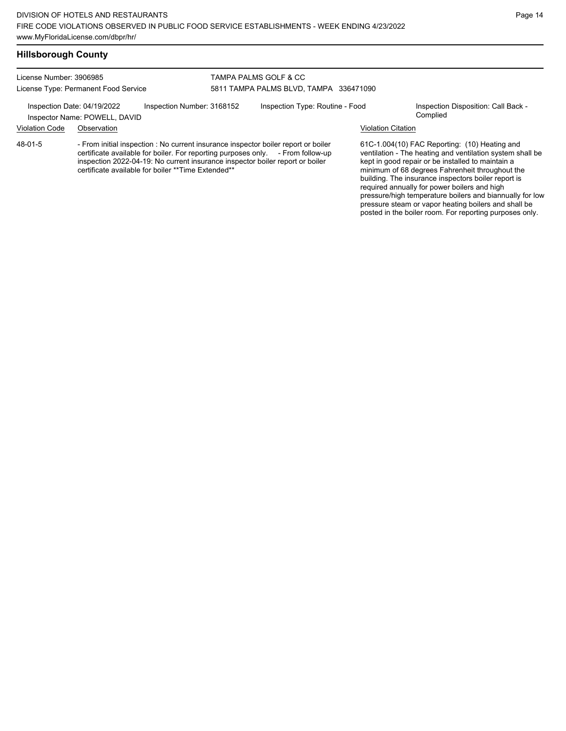### **Hillsborough County**

License Number: 3906985 License Type: Permanent Food Service

### TAMPA PALMS GOLF & CC 5811 TAMPA PALMS BLVD, TAMPA 336471090

Inspection Date: 04/19/2022 Inspection Number: 3168152 Inspection Type: Routine - Food Inspection Disposition: Call Back -

Inspector Name: POWELL, DAVID

### Violation Code Observation Violation Citation

- From initial inspection : No current insurance inspector boiler report or boiler certificate available for boiler. For reporting purposes only. - From follow-up inspection 2022-04-19: No current insurance inspector boiler report or boiler certificate available for boiler \*\*Time Extended\*\* 48-01-5

61C-1.004(10) FAC Reporting: (10) Heating and ventilation - The heating and ventilation system shall be kept in good repair or be installed to maintain a minimum of 68 degrees Fahrenheit throughout the building. The insurance inspectors boiler report is required annually for power boilers and high pressure/high temperature boilers and biannually for low pressure steam or vapor heating boilers and shall be posted in the boiler room. For reporting purposes only.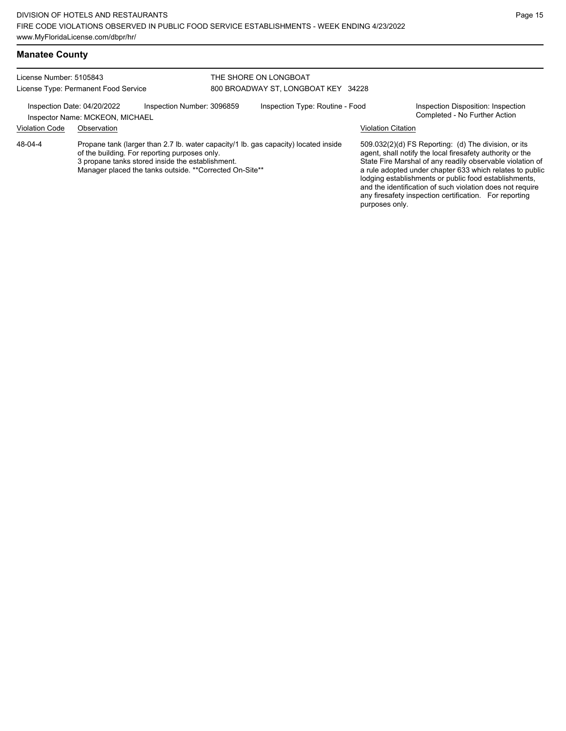### **Manatee County**

#### License Number: 5105843 License Type: Permanent Food Service THE SHORE ON LONGBOAT 800 BROADWAY ST, LONGBOAT KEY 34228 Inspection Date: 04/20/2022 Inspection Number: 3096859 Inspection Type: Routine - Food Inspection Disposition: Inspection<br>Inspector Name: MCKEON MICHAEI Inspector Name: MCKEON, MICHAEL Violation Code Observation Violation Citation Propane tank (larger than 2.7 lb. water capacity/1 lb. gas capacity) located inside of the building. For reporting purposes only. 3 propane tanks stored inside the establishment. Manager placed the tanks outside. \*\*Corrected On-Site\*\* 509.032(2)(d) FS Reporting: (d) The division, or its agent, shall notify the local firesafety authority or the State Fire Marshal of any readily observable violation of a rule adopted under chapter 633 which relates to public lodging establishments or public food establishments, and the identification of such violation does not require any firesafety inspection certification. For reporting purposes only. 48-04-4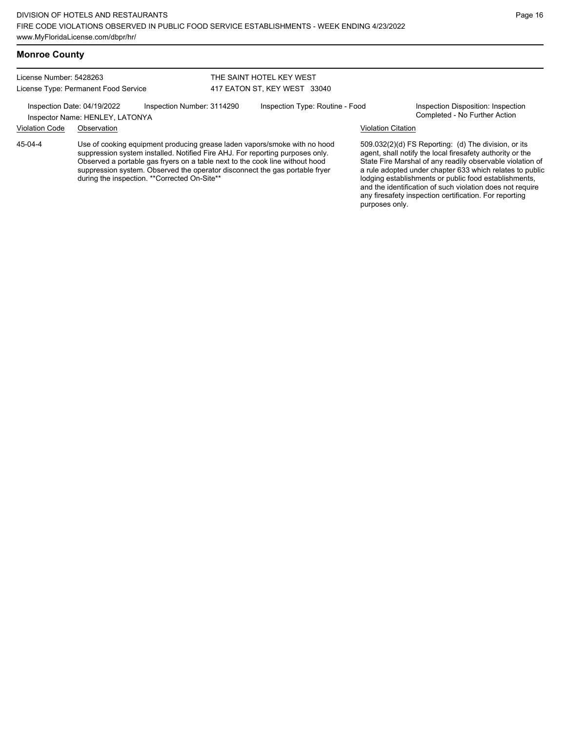### **Monroe County**

License Number: 5428263 License Type: Permanent Food Service

### THE SAINT HOTEL KEY WEST 417 EATON ST, KEY WEST 33040

Inspection Date: 04/19/2022 Inspection Number: 3114290 Inspection Type: Routine - Food Inspection Disposition: Inspection<br>Inspector Name: HENI EV LATONVA

# Inspector Name: HENLEY, LATONYA

45-04-4

Use of cooking equipment producing grease laden vapors/smoke with no hood suppression system installed. Notified Fire AHJ. For reporting purposes only. Observed a portable gas fryers on a table next to the cook line without hood suppression system. Observed the operator disconnect the gas portable fryer during the inspection. \*\*Corrected On-Site\*\*

Violation Code Observation Violation Citation

509.032(2)(d) FS Reporting: (d) The division, or its agent, shall notify the local firesafety authority or the State Fire Marshal of any readily observable violation of a rule adopted under chapter 633 which relates to public lodging establishments or public food establishments, and the identification of such violation does not require any firesafety inspection certification. For reporting purposes only.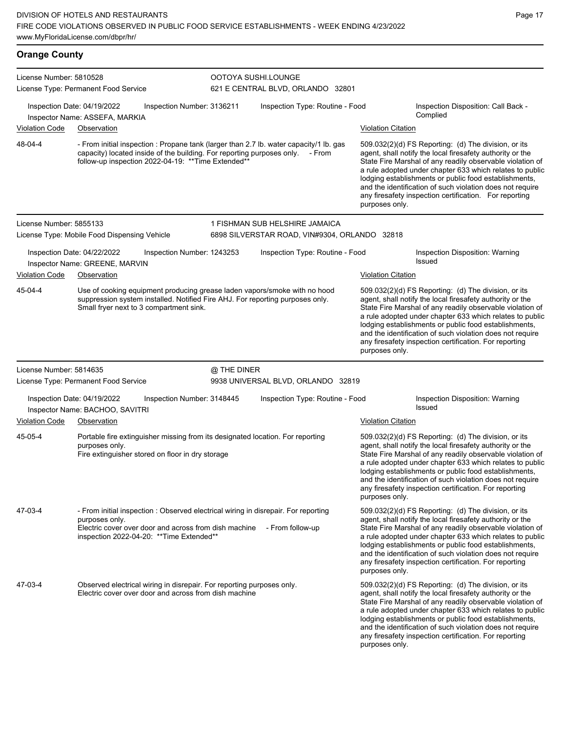| <b>Orange County</b>    |                                                                                                                                                                                                                                |                            |                                                          |                           |                                                                                                                                                                                                                                                                                                                                                                                                                            |
|-------------------------|--------------------------------------------------------------------------------------------------------------------------------------------------------------------------------------------------------------------------------|----------------------------|----------------------------------------------------------|---------------------------|----------------------------------------------------------------------------------------------------------------------------------------------------------------------------------------------------------------------------------------------------------------------------------------------------------------------------------------------------------------------------------------------------------------------------|
| License Number: 5810528 | License Type: Permanent Food Service                                                                                                                                                                                           |                            | OOTOYA SUSHI.LOUNGE<br>621 E CENTRAL BLVD, ORLANDO 32801 |                           |                                                                                                                                                                                                                                                                                                                                                                                                                            |
|                         | Inspection Date: 04/19/2022<br>Inspector Name: ASSEFA, MARKIA                                                                                                                                                                  | Inspection Number: 3136211 | Inspection Type: Routine - Food                          |                           | Inspection Disposition: Call Back -<br>Complied                                                                                                                                                                                                                                                                                                                                                                            |
| Violation Code          | Observation                                                                                                                                                                                                                    |                            |                                                          | <b>Violation Citation</b> |                                                                                                                                                                                                                                                                                                                                                                                                                            |
| 48-04-4                 | - From initial inspection : Propane tank (larger than 2.7 lb. water capacity/1 lb. gas<br>capacity) located inside of the building. For reporting purposes only. - From<br>follow-up inspection 2022-04-19: ** Time Extended** |                            |                                                          | purposes only.            | 509.032(2)(d) FS Reporting: (d) The division, or its<br>agent, shall notify the local firesafety authority or the<br>State Fire Marshal of any readily observable violation of<br>a rule adopted under chapter 633 which relates to public<br>lodging establishments or public food establishments,<br>and the identification of such violation does not require<br>any firesafety inspection certification. For reporting |
| License Number: 5855133 |                                                                                                                                                                                                                                |                            | 1 FISHMAN SUB HELSHIRE JAMAICA                           |                           |                                                                                                                                                                                                                                                                                                                                                                                                                            |
|                         | License Type: Mobile Food Dispensing Vehicle                                                                                                                                                                                   |                            | 6898 SILVERSTAR ROAD, VIN#9304, ORLANDO 32818            |                           |                                                                                                                                                                                                                                                                                                                                                                                                                            |
|                         | Inspection Date: 04/22/2022<br>Inspector Name: GREENE, MARVIN                                                                                                                                                                  | Inspection Number: 1243253 | Inspection Type: Routine - Food                          |                           | Inspection Disposition: Warning<br><b>Issued</b>                                                                                                                                                                                                                                                                                                                                                                           |
| <b>Violation Code</b>   | Observation                                                                                                                                                                                                                    |                            |                                                          | <b>Violation Citation</b> |                                                                                                                                                                                                                                                                                                                                                                                                                            |
| 45-04-4                 | Use of cooking equipment producing grease laden vapors/smoke with no hood<br>suppression system installed. Notified Fire AHJ. For reporting purposes only.<br>Small fryer next to 3 compartment sink.                          |                            |                                                          | purposes only.            | 509.032(2)(d) FS Reporting: (d) The division, or its<br>agent, shall notify the local firesafety authority or the<br>State Fire Marshal of any readily observable violation of<br>a rule adopted under chapter 633 which relates to public<br>lodging establishments or public food establishments,<br>and the identification of such violation does not require<br>any firesafety inspection certification. For reporting |
| License Number: 5814635 |                                                                                                                                                                                                                                | @ THE DINER                |                                                          |                           |                                                                                                                                                                                                                                                                                                                                                                                                                            |
|                         | License Type: Permanent Food Service                                                                                                                                                                                           |                            | 9938 UNIVERSAL BLVD, ORLANDO 32819                       |                           |                                                                                                                                                                                                                                                                                                                                                                                                                            |
|                         | Inspection Date: 04/19/2022<br>Inspector Name: BACHOO, SAVITRI                                                                                                                                                                 | Inspection Number: 3148445 | Inspection Type: Routine - Food                          |                           | Inspection Disposition: Warning<br><b>Issued</b>                                                                                                                                                                                                                                                                                                                                                                           |
| <b>Violation Code</b>   | Observation                                                                                                                                                                                                                    |                            |                                                          | <b>Violation Citation</b> |                                                                                                                                                                                                                                                                                                                                                                                                                            |
| 45-05-4                 | Portable fire extinguisher missing from its designated location. For reporting<br>purposes only.<br>Fire extinguisher stored on floor in dry storage                                                                           |                            |                                                          | purposes only.            | 509.032(2)(d) FS Reporting: (d) The division, or its<br>agent, shall notify the local firesafety authority or the<br>State Fire Marshal of any readily observable violation of<br>a rule adopted under chapter 633 which relates to public<br>lodging establishments or public food establishments,<br>and the identification of such violation does not require<br>any firesafety inspection certification. For reporting |
| 47-03-4                 | - From initial inspection : Observed electrical wiring in disrepair. For reporting<br>purposes only.<br>Electric cover over door and across from dish machine<br>inspection 2022-04-20: ** Time Extended**                     |                            | - From follow-up                                         | purposes only.            | 509.032(2)(d) FS Reporting: (d) The division, or its<br>agent, shall notify the local firesafety authority or the<br>State Fire Marshal of any readily observable violation of<br>a rule adopted under chapter 633 which relates to public<br>lodging establishments or public food establishments,<br>and the identification of such violation does not require<br>any firesafety inspection certification. For reporting |
| 47-03-4                 | Observed electrical wiring in disrepair. For reporting purposes only.<br>Electric cover over door and across from dish machine                                                                                                 |                            |                                                          |                           | 509.032(2)(d) FS Reporting: (d) The division, or its<br>agent, shall notify the local firesafety authority or the<br>State Fire Marshal of any readily observable violation of<br>a rule adopted under chapter 633 which relates to public<br>lodging establishments or public food establishments,<br>and the identification of such violation does not require<br>any firesafety inspection certification. For reporting |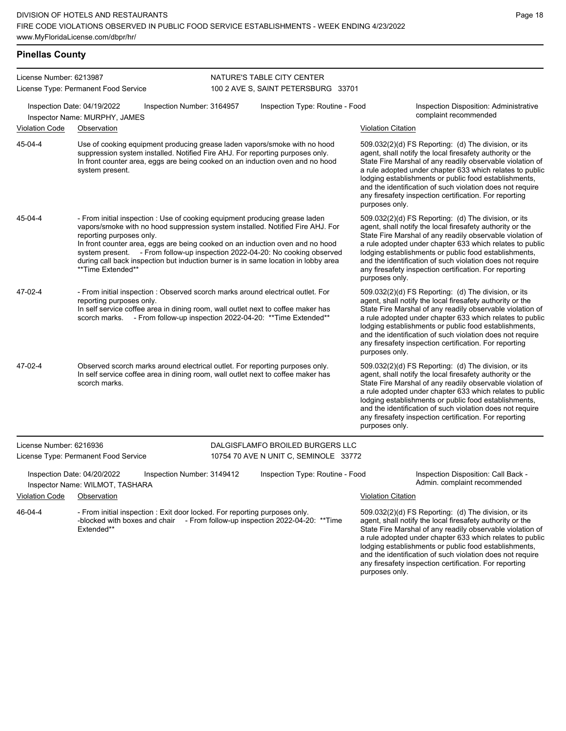| License Number: 6213987 |                                                                                                                                                                                                                                                                                                                                                                                                                                                                      |                            | NATURE'S TABLE CITY CENTER                                                |                           |                                                                                                                                                                                                                                                                                                                                                                                                                            |
|-------------------------|----------------------------------------------------------------------------------------------------------------------------------------------------------------------------------------------------------------------------------------------------------------------------------------------------------------------------------------------------------------------------------------------------------------------------------------------------------------------|----------------------------|---------------------------------------------------------------------------|---------------------------|----------------------------------------------------------------------------------------------------------------------------------------------------------------------------------------------------------------------------------------------------------------------------------------------------------------------------------------------------------------------------------------------------------------------------|
|                         | License Type: Permanent Food Service                                                                                                                                                                                                                                                                                                                                                                                                                                 |                            | 100 2 AVE S, SAINT PETERSBURG 33701                                       |                           |                                                                                                                                                                                                                                                                                                                                                                                                                            |
|                         | Inspection Date: 04/19/2022<br>Inspector Name: MURPHY, JAMES                                                                                                                                                                                                                                                                                                                                                                                                         | Inspection Number: 3164957 | Inspection Type: Routine - Food                                           |                           | Inspection Disposition: Administrative<br>complaint recommended                                                                                                                                                                                                                                                                                                                                                            |
| <b>Violation Code</b>   | Observation                                                                                                                                                                                                                                                                                                                                                                                                                                                          |                            |                                                                           | <b>Violation Citation</b> |                                                                                                                                                                                                                                                                                                                                                                                                                            |
| 45-04-4                 | Use of cooking equipment producing grease laden vapors/smoke with no hood<br>suppression system installed. Notified Fire AHJ. For reporting purposes only.<br>In front counter area, eggs are being cooked on an induction oven and no hood<br>system present.                                                                                                                                                                                                       |                            |                                                                           | purposes only.            | 509.032(2)(d) FS Reporting: (d) The division, or its<br>agent, shall notify the local firesafety authority or the<br>State Fire Marshal of any readily observable violation of<br>a rule adopted under chapter 633 which relates to public<br>lodging establishments or public food establishments,<br>and the identification of such violation does not require<br>any firesafety inspection certification. For reporting |
| 45-04-4                 | - From initial inspection : Use of cooking equipment producing grease laden<br>vapors/smoke with no hood suppression system installed. Notified Fire AHJ. For<br>reporting purposes only.<br>In front counter area, eggs are being cooked on an induction oven and no hood<br>system present. - From follow-up inspection 2022-04-20: No cooking observed<br>during call back inspection but induction burner is in same location in lobby area<br>**Time Extended** |                            |                                                                           | purposes only.            | 509.032(2)(d) FS Reporting: (d) The division, or its<br>agent, shall notify the local firesafety authority or the<br>State Fire Marshal of any readily observable violation of<br>a rule adopted under chapter 633 which relates to public<br>lodging establishments or public food establishments,<br>and the identification of such violation does not require<br>any firesafety inspection certification. For reporting |
| 47-02-4                 | - From initial inspection : Observed scorch marks around electrical outlet. For<br>reporting purposes only.<br>In self service coffee area in dining room, wall outlet next to coffee maker has<br>scorch marks. - From follow-up inspection 2022-04-20: ** Time Extended**                                                                                                                                                                                          |                            |                                                                           | purposes only.            | 509.032(2)(d) FS Reporting: (d) The division, or its<br>agent, shall notify the local firesafety authority or the<br>State Fire Marshal of any readily observable violation of<br>a rule adopted under chapter 633 which relates to public<br>lodging establishments or public food establishments,<br>and the identification of such violation does not require<br>any firesafety inspection certification. For reporting |
| 47-02-4                 | Observed scorch marks around electrical outlet. For reporting purposes only.<br>In self service coffee area in dining room, wall outlet next to coffee maker has<br>scorch marks.                                                                                                                                                                                                                                                                                    |                            |                                                                           | purposes only.            | 509.032(2)(d) FS Reporting: (d) The division, or its<br>agent, shall notify the local firesafety authority or the<br>State Fire Marshal of any readily observable violation of<br>a rule adopted under chapter 633 which relates to public<br>lodging establishments or public food establishments,<br>and the identification of such violation does not require<br>any firesafety inspection certification. For reporting |
| License Number: 6216936 | License Type: Permanent Food Service                                                                                                                                                                                                                                                                                                                                                                                                                                 |                            | DALGISFLAMFO BROILED BURGERS LLC<br>10754 70 AVE N UNIT C, SEMINOLE 33772 |                           |                                                                                                                                                                                                                                                                                                                                                                                                                            |
|                         | Inspection Date: 04/20/2022<br>Inspector Name: WILMOT, TASHARA                                                                                                                                                                                                                                                                                                                                                                                                       | Inspection Number: 3149412 | Inspection Type: Routine - Food                                           |                           | Inspection Disposition: Call Back -<br>Admin. complaint recommended                                                                                                                                                                                                                                                                                                                                                        |
| <b>Violation Code</b>   | Observation                                                                                                                                                                                                                                                                                                                                                                                                                                                          |                            |                                                                           | <b>Violation Citation</b> |                                                                                                                                                                                                                                                                                                                                                                                                                            |
| 46-04-4                 | - From initial inspection : Exit door locked. For reporting purposes only.<br>-blocked with boxes and chair - From follow-up inspection 2022-04-20: **Time<br>Extended**                                                                                                                                                                                                                                                                                             |                            |                                                                           |                           | 509.032(2)(d) FS Reporting: (d) The division, or its<br>agent, shall notify the local firesafety authority or the<br>State Fire Marshal of any readily observable violation of<br>a rule adopted under chapter 633 which relates to public<br>lodging establishments or public food establishments,<br>and the identification of such violation does not require                                                           |

any firesafety inspection certification. For reporting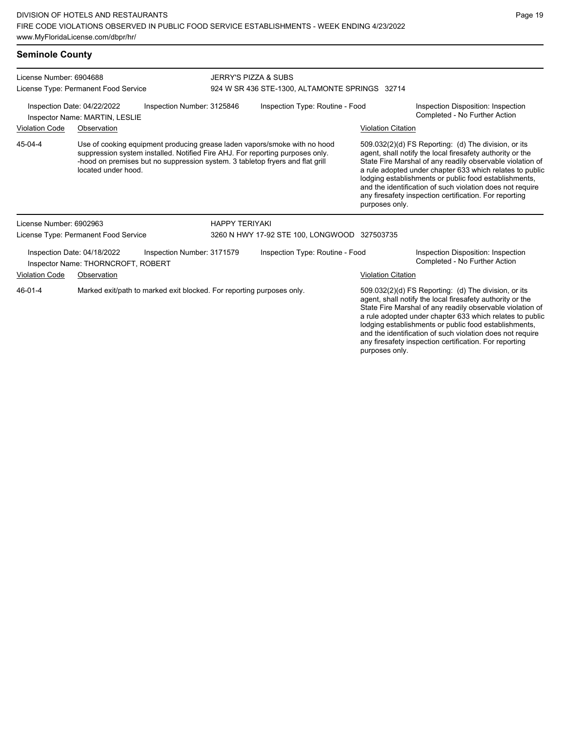### **Seminole County**

| License Number: 6904688<br>License Type: Permanent Food Service<br>Inspection Date: 04/22/2022<br>Inspection Number: 3125846<br>Inspector Name: MARTIN, LESLIE |                                                                   |                            | <b>JERRY'S PIZZA &amp; SUBS</b><br>924 W SR 436 STE-1300, ALTAMONTE SPRINGS 32714 |                                                                                                                                                                                                                                                                                                     |                           |                                                                                                                                                                                                                                                                                                                                                                                                                            |  |
|----------------------------------------------------------------------------------------------------------------------------------------------------------------|-------------------------------------------------------------------|----------------------------|-----------------------------------------------------------------------------------|-----------------------------------------------------------------------------------------------------------------------------------------------------------------------------------------------------------------------------------------------------------------------------------------------------|---------------------------|----------------------------------------------------------------------------------------------------------------------------------------------------------------------------------------------------------------------------------------------------------------------------------------------------------------------------------------------------------------------------------------------------------------------------|--|
|                                                                                                                                                                |                                                                   |                            | Inspection Type: Routine - Food                                                   |                                                                                                                                                                                                                                                                                                     |                           | Inspection Disposition: Inspection<br>Completed - No Further Action                                                                                                                                                                                                                                                                                                                                                        |  |
| <b>Violation Code</b>                                                                                                                                          | Observation                                                       |                            |                                                                                   |                                                                                                                                                                                                                                                                                                     | <b>Violation Citation</b> |                                                                                                                                                                                                                                                                                                                                                                                                                            |  |
| 45-04-4                                                                                                                                                        | located under hood.                                               |                            |                                                                                   | Use of cooking equipment producing grease laden vapors/smoke with no hood<br>suppression system installed. Notified Fire AHJ. For reporting purposes only.<br>-hood on premises but no suppression system. 3 tabletop fryers and flat grill                                                         | purposes only.            | 509.032(2)(d) FS Reporting: (d) The division, or its<br>agent, shall notify the local firesafety authority or the<br>State Fire Marshal of any readily observable violation of<br>a rule adopted under chapter 633 which relates to public<br>lodging establishments or public food establishments,<br>and the identification of such violation does not require<br>any firesafety inspection certification. For reporting |  |
| License Number: 6902963                                                                                                                                        |                                                                   |                            | <b>HAPPY TERIYAKI</b>                                                             |                                                                                                                                                                                                                                                                                                     |                           |                                                                                                                                                                                                                                                                                                                                                                                                                            |  |
| License Type: Permanent Food Service                                                                                                                           |                                                                   |                            |                                                                                   | 3260 N HWY 17-92 STE 100, LONGWOOD 327503735                                                                                                                                                                                                                                                        |                           |                                                                                                                                                                                                                                                                                                                                                                                                                            |  |
|                                                                                                                                                                | Inspection Date: 04/18/2022<br>Inspector Name: THORNCROFT, ROBERT | Inspection Number: 3171579 |                                                                                   | Inspection Type: Routine - Food                                                                                                                                                                                                                                                                     |                           | Inspection Disposition: Inspection<br>Completed - No Further Action                                                                                                                                                                                                                                                                                                                                                        |  |
| <b>Violation Code</b>                                                                                                                                          | Observation                                                       |                            |                                                                                   |                                                                                                                                                                                                                                                                                                     | <b>Violation Citation</b> |                                                                                                                                                                                                                                                                                                                                                                                                                            |  |
| Marked exit/path to marked exit blocked. For reporting purposes only.<br>46-01-4                                                                               |                                                                   |                            |                                                                                   | 509.032(2)(d) FS Reporting: (d) The division, or its<br>agent, shall notify the local firesafety authority or the<br>State Fire Marshal of any readily observable violation of<br>a rule adopted under chapter 633 which relates to public<br>lodging establishments or public food establishments, |                           |                                                                                                                                                                                                                                                                                                                                                                                                                            |  |

and the identification of such violation does not require any firesafety inspection certification. For reporting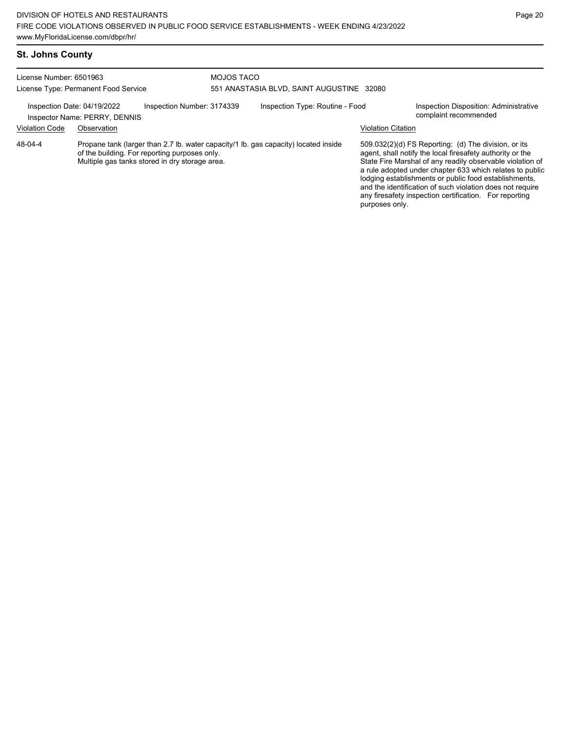| <b>St. Johns County</b>    |             |
|----------------------------|-------------|
| $Lipanoo$ Numbor $8501082$ | MO IOS TACO |

| License Number: 6501963              |                               |                                                                                                 | MOJOS TACO                                |                                                                                     |                           |                                                                                                                                                                                                                                                                                                                                                                                                                            |  |
|--------------------------------------|-------------------------------|-------------------------------------------------------------------------------------------------|-------------------------------------------|-------------------------------------------------------------------------------------|---------------------------|----------------------------------------------------------------------------------------------------------------------------------------------------------------------------------------------------------------------------------------------------------------------------------------------------------------------------------------------------------------------------------------------------------------------------|--|
| License Type: Permanent Food Service |                               |                                                                                                 | 551 ANASTASIA BLVD, SAINT AUGUSTINE 32080 |                                                                                     |                           |                                                                                                                                                                                                                                                                                                                                                                                                                            |  |
| Inspection Date: 04/19/2022          | Inspector Name: PERRY, DENNIS | Inspection Number: 3174339                                                                      |                                           | Inspection Type: Routine - Food                                                     |                           | <b>Inspection Disposition: Administrative</b><br>complaint recommended                                                                                                                                                                                                                                                                                                                                                     |  |
| <b>Violation Code</b>                | Observation                   |                                                                                                 |                                           |                                                                                     | <b>Violation Citation</b> |                                                                                                                                                                                                                                                                                                                                                                                                                            |  |
| 48-04-4                              |                               | of the building. For reporting purposes only.<br>Multiple gas tanks stored in dry storage area. |                                           | Propane tank (larger than 2.7 lb. water capacity/1 lb. gas capacity) located inside | purposes only.            | 509.032(2)(d) FS Reporting: (d) The division, or its<br>agent, shall notify the local firesafety authority or the<br>State Fire Marshal of any readily observable violation of<br>a rule adopted under chapter 633 which relates to public<br>lodging establishments or public food establishments,<br>and the identification of such violation does not require<br>any firesafety inspection certification. For reporting |  |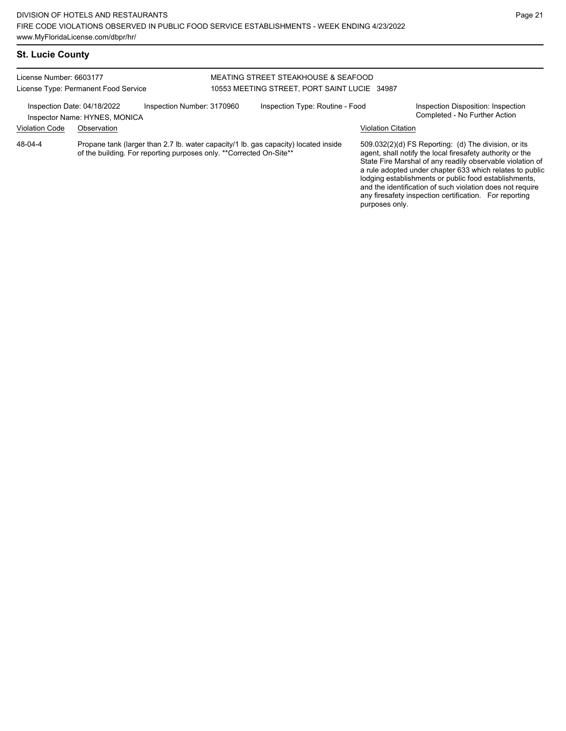and the identification of such violation does not require any firesafety inspection certification. For reporting

purposes only.

# **St. Lucie County**

| License Number: 6603177<br>License Type: Permanent Food Service<br>Inspection Date: 04/18/2022<br>Inspection Number: 3170960<br>Inspector Name: HYNES, MONICA |             |  | MEATING STREET STEAKHOUSE & SEAFOOD<br>10553 MEETING STREET, PORT SAINT LUCIE 34987                                                                         |  |                                                                                                                                                                                                                                                                                                     |                                                                     |  |
|---------------------------------------------------------------------------------------------------------------------------------------------------------------|-------------|--|-------------------------------------------------------------------------------------------------------------------------------------------------------------|--|-----------------------------------------------------------------------------------------------------------------------------------------------------------------------------------------------------------------------------------------------------------------------------------------------------|---------------------------------------------------------------------|--|
|                                                                                                                                                               |             |  | Inspection Type: Routine - Food                                                                                                                             |  |                                                                                                                                                                                                                                                                                                     | Inspection Disposition: Inspection<br>Completed - No Further Action |  |
| <b>Violation Code</b>                                                                                                                                         | Observation |  |                                                                                                                                                             |  | <b>Violation Citation</b>                                                                                                                                                                                                                                                                           |                                                                     |  |
| 48-04-4                                                                                                                                                       |             |  | Propane tank (larger than 2.7 lb. water capacity/1 lb. gas capacity) located inside<br>of the building. For reporting purposes only. ** Corrected On-Site** |  | 509.032(2)(d) FS Reporting: (d) The division, or its<br>agent, shall notify the local firesafety authority or the<br>State Fire Marshal of any readily observable violation of<br>a rule adopted under chapter 633 which relates to public<br>lodging establishments or public food establishments, |                                                                     |  |